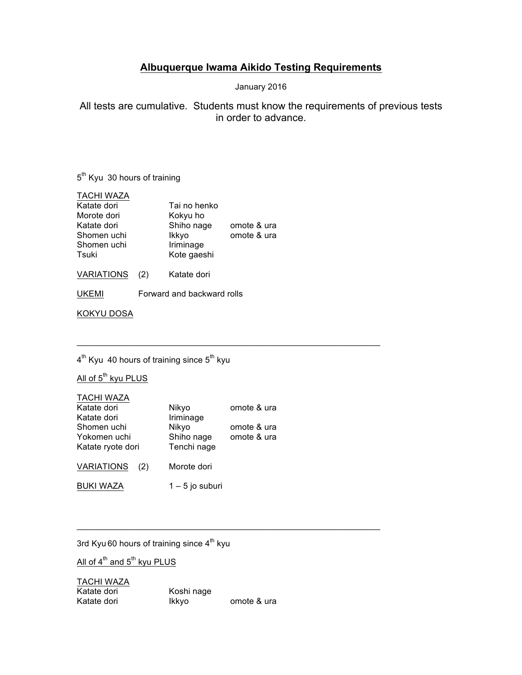## **Albuquerque Iwama Aikido Testing Requirements**

January 2016

All tests are cumulative. Students must know the requirements of previous tests in order to advance.

5<sup>th</sup> Kyu 30 hours of training

| <b>TACHI WAZA</b> |     |              |             |
|-------------------|-----|--------------|-------------|
| Katate dori       |     | Tai no henko |             |
| Morote dori       |     | Kokyu ho     |             |
| Katate dori       |     | Shiho nage   | omote & ura |
| Shomen uchi       |     | Ikkyo        | omote & ura |
| Shomen uchi       |     | Iriminage    |             |
| Tsuki             |     | Kote gaeshi  |             |
| <b>VARIATIONS</b> | (2) | Katate dori  |             |

UKEMI Forward and backward rolls

KOKYU DOSA

4<sup>th</sup> Kyu 40 hours of training since 5<sup>th</sup> kyu

All of 5<sup>th</sup> kyu PLUS

#### TACHI WAZA

| Katate dori              | Nikyo             | omote & ura |
|--------------------------|-------------------|-------------|
| Katate dori              | Iriminage         |             |
| Shomen uchi              | Nikyo             | omote & ura |
| Yokomen uchi             | Shiho nage        | omote & ura |
| Katate ryote dori        | Tenchi nage       |             |
| <b>VARIATIONS</b><br>(2) | Morote dori       |             |
| <b>BUKI WAZA</b>         | $1 - 5$ jo suburi |             |

 $\_$  , and the state of the state of the state of the state of the state of the state of the state of the state of the state of the state of the state of the state of the state of the state of the state of the state of the

\_\_\_\_\_\_\_\_\_\_\_\_\_\_\_\_\_\_\_\_\_\_\_\_\_\_\_\_\_\_\_\_\_\_\_\_\_\_\_\_\_\_\_\_\_\_\_\_\_\_\_\_\_\_\_\_\_\_\_\_\_\_\_\_

3rd Kyu 60 hours of training since  $4<sup>th</sup>$  kyu

All of  $4^{\text{th}}$  and  $5^{\text{th}}$  kyu PLUS

TACHI WAZA Katate dori Koshi nage<br>Katate dori Katate dori Katate kont omote & ura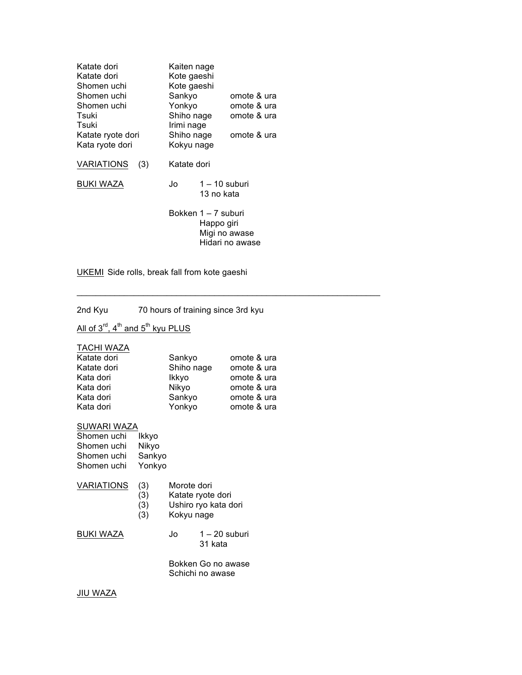| Katate dori<br>Katate dori<br>Shomen uchi<br>Shomen uchi<br>Shomen uchi<br>Tsuki<br>Tsuki<br>Katate ryote dori<br>Kata ryote dori | Kaiten nage<br>Kote gaeshi<br>Kote gaeshi<br>Sankyo<br>Yonkyo<br>Shiho nage<br>Irimi nage<br>Shiho nage<br>Kokyu nage |                                                                       | omote & ura<br>omote & ura<br>omote & ura<br>omote & ura |
|-----------------------------------------------------------------------------------------------------------------------------------|-----------------------------------------------------------------------------------------------------------------------|-----------------------------------------------------------------------|----------------------------------------------------------|
| <b>VARIATIONS</b><br>(3)                                                                                                          | Katate dori                                                                                                           |                                                                       |                                                          |
| BUKI WAZA                                                                                                                         | Jo                                                                                                                    | $1 - 10$ suburi<br>13 no kata                                         |                                                          |
|                                                                                                                                   |                                                                                                                       | Bokken 1 – 7 suburi<br>Happo giri<br>Migi no awase<br>Hidari no awase |                                                          |

UKEMI Side rolls, break fall from kote gaeshi

2nd Kyu 70 hours of training since 3rd kyu

## All of  $3^{\text{rd}}$ ,  $4^{\text{th}}$  and  $5^{\text{th}}$  kyu PLUS

TACHI WAZA

| Katate dori | Sankyo     | omote & ura |
|-------------|------------|-------------|
| Katate dori | Shiho nage | omote & ura |
| Kata dori   | Ikkyo      | omote & ura |
| Kata dori   | Nikyo      | omote & ura |
| Kata dori   | Sankyo     | omote & ura |
| Kata dori   | Yonkyo     | omote & ura |

SUWARI WAZA

| Shomen uchi | Ikkyo  |
|-------------|--------|
| Shomen uchi | Nikyo  |
| Shomen uchi | Sankyo |
| Shomen uchi | Yonkyo |
|             |        |

## VARIATIONS (3) Morote dori

- (3) Katate ryote dori
- (3) Ushiro ryo kata dori
- Kokyu nage

BUKI WAZA Jo 1-20 suburi 31 kata

\_\_\_\_\_\_\_\_\_\_\_\_\_\_\_\_\_\_\_\_\_\_\_\_\_\_\_\_\_\_\_\_\_\_\_\_\_\_\_\_\_\_\_\_\_\_\_\_\_\_\_\_\_\_\_\_\_\_\_\_\_\_\_\_

Bokken Go no awase Schichi no awase

JIU WAZA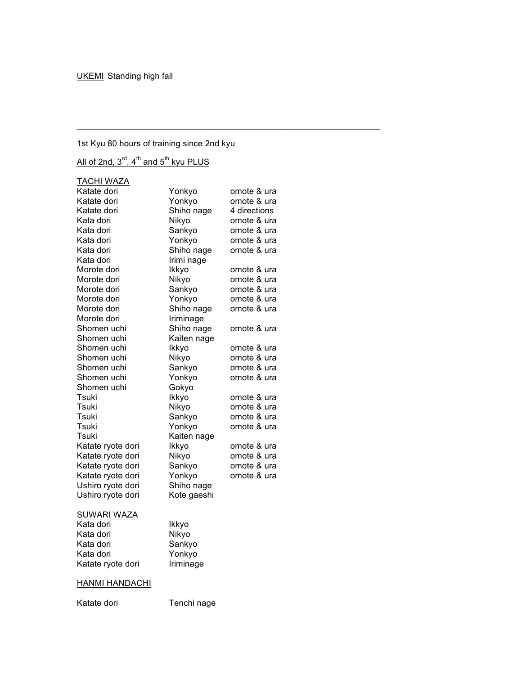## 1st Kyu 80 hours of training since 2nd kyu

 $\mathcal{L}_\mathcal{L}$  , and the set of the set of the set of the set of the set of the set of the set of the set of the set of the set of the set of the set of the set of the set of the set of the set of the set of the set of th

# All of 2nd,  $3^{\text{rd}}$ ,  $4^{\text{th}}$  and  $5^{\text{th}}$  kyu PLUS

| <b>TACHI WAZA</b>     |             |              |
|-----------------------|-------------|--------------|
| Katate dori           | Yonkyo      | omote & ura  |
| Katate dori           | Yonkyo      | omote & ura  |
| Katate dori           | Shiho nage  | 4 directions |
| Kata dori             | Nikyo       | omote & ura  |
| Kata dori             | Sankyo      | omote & ura  |
| Kata dori             | Yonkyo      | omote & ura  |
| Kata dori             | Shiho nage  | omote & ura  |
| Kata dori             | Irimi nage  |              |
| Morote dori           | Ikkyo       | omote & ura  |
| Morote dori           | Nikyo       | omote & ura  |
| Morote dori           | Sankyo      | omote & ura  |
| Morote dori           | Yonkyo      | omote & ura  |
| Morote dori           | Shiho nage  | omote & ura  |
| Morote dori           | Iriminage   |              |
| Shomen uchi           | Shiho nage  | omote & ura  |
| Shomen uchi           | Kaiten nage |              |
| Shomen uchi           | Ikkyo       | omote & ura  |
| Shomen uchi           | Nikyo       | omote & ura  |
| Shomen uchi           | Sankyo      | omote & ura  |
| Shomen uchi           | Yonkyo      | omote & ura  |
| Shomen uchi           | Gokyo       |              |
| Tsuki                 | Ikkyo       | omote & ura  |
| Tsuki                 | Nikyo       | omote & ura  |
| Tsuki                 | Sankyo      | omote & ura  |
| Tsuki                 | Yonkyo      | omote & ura  |
| Tsuki                 | Kaiten nage |              |
| Katate ryote dori     | Ikkyo       | omote & ura  |
| Katate ryote dori     | Nikyo       | omote & ura  |
| Katate ryote dori     | Sankyo      | omote & ura  |
| Katate ryote dori     | Yonkyo      | omote & ura  |
| Ushiro ryote dori     | Shiho nage  |              |
| Ushiro ryote dori     | Kote gaeshi |              |
|                       |             |              |
| <b>SUWARI WAZA</b>    |             |              |
| Kata dori             | Ikkyo       |              |
| Kata dori             | Nikyo       |              |
| Kata dori             | Sankyo      |              |
| Kata dori             | Yonkyo      |              |
| Katate ryote dori     | Iriminage   |              |
|                       |             |              |
| <b>HANMI HANDACHI</b> |             |              |
| Katate dori           | Tenchi nage |              |
|                       |             |              |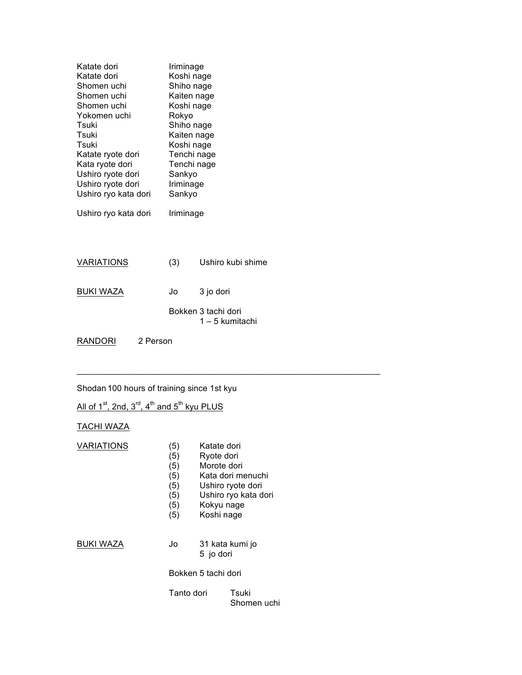| Katate dori<br>Katate dori<br>Shomen uchi<br>Shomen uchi<br>Shomen uchi<br>Yokomen uchi<br>Tsuki<br>Tsuki<br>Tsuki<br>Katate ryote dori<br>Kata ryote dori<br>Ushiro ryote dori<br>Ushiro ryote dori<br>Ushiro ryo kata dori |          | Iriminage<br>Koshi nage<br>Shiho nage<br>Kaiten nage<br>Koshi nage<br>Rokyo<br>Shiho nage<br>Kaiten nage<br>Koshi nage<br>Tenchi nage<br>Tenchi nage<br>Sankyo<br>Iriminage<br>Sankyo |                                        |
|------------------------------------------------------------------------------------------------------------------------------------------------------------------------------------------------------------------------------|----------|---------------------------------------------------------------------------------------------------------------------------------------------------------------------------------------|----------------------------------------|
| Ushiro ryo kata dori                                                                                                                                                                                                         |          | Iriminage                                                                                                                                                                             |                                        |
| <b>VARIATIONS</b>                                                                                                                                                                                                            |          | (3)                                                                                                                                                                                   | Ushiro kubi shime                      |
| <b>BUKI WAZA</b>                                                                                                                                                                                                             |          | Jo                                                                                                                                                                                    | 3 jo dori                              |
|                                                                                                                                                                                                                              |          |                                                                                                                                                                                       | Bokken 3 tachi dori<br>1 – 5 kumitachi |
| RANDORI                                                                                                                                                                                                                      | 2 Person |                                                                                                                                                                                       |                                        |

Shodan 100 hours of training since 1st kyu

 $\_$  , and the state of the state of the state of the state of the state of the state of the state of the state of the state of the state of the state of the state of the state of the state of the state of the state of the

All of  $1^{st}$ , 2nd,  $3^{rd}$ , 4<sup>th</sup> and  $5^{th}$  kyu PLUS

## TACHI WAZA

| VARIATIONS | (5)<br>(5)<br>(5)<br>(5)<br>(5)<br>(5)<br>(5)<br>(5) | Katate dori<br>Ryote dori<br>Morote dori<br>Kokyu nage<br>Koshi nage | Kata dori menuchi<br>Ushiro ryote dori<br>Ushiro ryo kata dori |
|------------|------------------------------------------------------|----------------------------------------------------------------------|----------------------------------------------------------------|
| BUKI WAZA  | Jo                                                   | 5 jo dori                                                            | 31 kata kumi jo                                                |
|            |                                                      | Bokken 5 tachi dori                                                  |                                                                |
|            | Tanto dori                                           |                                                                      | Tsuki<br>Shomen uchi                                           |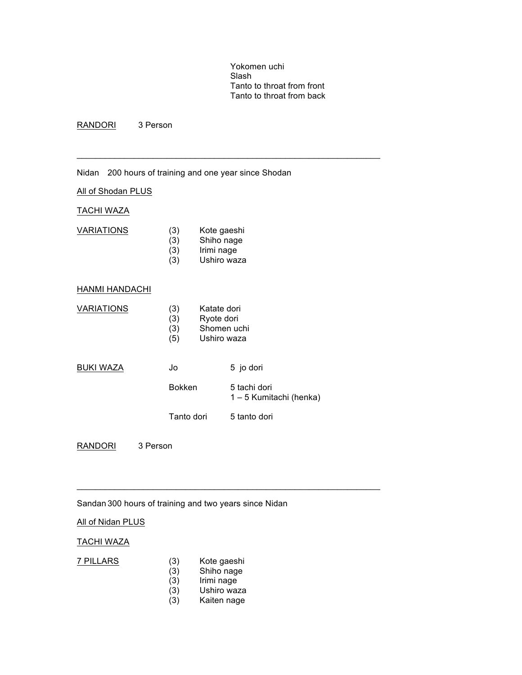Yokomen uchi Slash Tanto to throat from front Tanto to throat from back

RANDORI 3 Person

Nidan 200 hours of training and one year since Shodan

 $\mathcal{L}_\mathcal{L}$  , and the set of the set of the set of the set of the set of the set of the set of the set of the set of the set of the set of the set of the set of the set of the set of the set of the set of the set of th

#### All of Shodan PLUS

#### TACHI WAZA

| <b>VARIATIONS</b> | (3) | Kote gaeshi |
|-------------------|-----|-------------|
|                   | (3) | Shiho nage  |
|                   | (3) | Irimi nage  |
|                   | (3) | Ushiro waza |
|                   |     |             |

#### HANMI HANDACHI

| <b>VARIATIONS</b> | (3)<br>(3)<br>(3)<br>(5) | Katate dori<br>Ryote dori<br>Shomen uchi<br>Ushiro waza |
|-------------------|--------------------------|---------------------------------------------------------|
| <b>BUKI WAZA</b>  | Jo                       | 5 jo dori                                               |
|                   | <b>Bokken</b>            | 5 tachi dori<br>1 - 5 Kumitachi (henka)                 |
|                   | Tanto dori               | 5 tanto dori                                            |
|                   |                          |                                                         |

RANDORI 3 Person

### Sandan 300 hours of training and two years since Nidan

#### All of Nidan PLUS

#### TACHI WAZA

- 7 PILLARS (3) Kote gaeshi<br>(3) Shiho nage
	- Shiho nage

 $\mathcal{L}_\mathcal{L}$  , and the set of the set of the set of the set of the set of the set of the set of the set of the set of the set of the set of the set of the set of the set of the set of the set of the set of the set of th

- $(3)$  Irimi nage<br> $(3)$  Ushiro waz
- Ushiro waza
- (3) Kaiten nage